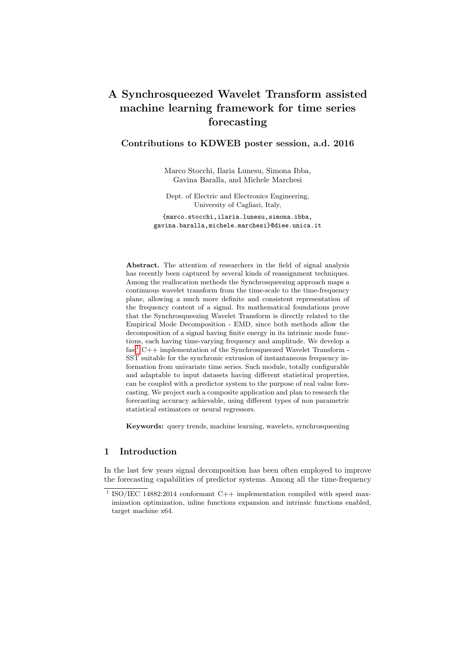# A Synchrosqueezed Wavelet Transform assisted machine learning framework for time series forecasting

## Contributions to KDWEB poster session, a.d. 2016

Marco Stocchi, Ilaria Lunesu, Simona Ibba, Gavina Baralla, and Michele Marchesi

Dept. of Electric and Electronics Engineering, University of Cagliari, Italy,

{marco.stocchi,ilaria.lunesu,simona.ibba, gavina.baralla,michele.marchesi}@diee.unica.it

Abstract. The attention of researchers in the field of signal analysis has recently been captured by several kinds of reassignment techniques. Among the reallocation methods the Synchrosqueezing approach maps a continuous wavelet transform from the time-scale to the time-frequency plane, allowing a much more definite and consistent representation of the frequency content of a signal. Its mathematical foundations prove that the Synchrosqueezing Wavelet Transform is directly related to the Empirical Mode Decomposition - EMD, since both methods allow the decomposition of a signal having finite energy in its intrinsic mode functions, each having time-varying frequency and amplitude. We develop a  $fast<sup>1</sup>$  $fast<sup>1</sup>$  $fast<sup>1</sup>$  C++ implementation of the Synchrosqueezed Wavelet Transform -SST suitable for the synchronic extrusion of instantaneous frequency information from univariate time series. Such module, totally configurable and adaptable to input datasets having different statistical properties, can be coupled with a predictor system to the purpose of real value forecasting. We project such a composite application and plan to research the forecasting accuracy achievable, using different types of non parametric statistical estimators or neural regressors.

Keywords: query trends, machine learning, wavelets, synchrosqueezing

### 1 Introduction

In the last few years signal decomposition has been often employed to improve the forecasting capabilities of predictor systems. Among all the time-frequency

<span id="page-0-0"></span><sup>&</sup>lt;sup>1</sup> ISO/IEC 14882:2014 conformant C++ implementation compiled with speed maximization optimization, inline functions expansion and intrinsic functions enabled, target machine x64.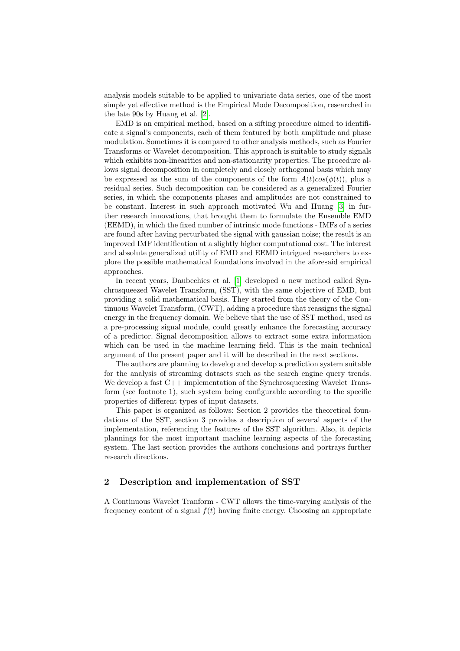analysis models suitable to be applied to univariate data series, one of the most simple yet effective method is the Empirical Mode Decomposition, researched in the late 90s by Huang et al. [\[2\]](#page-3-0).

EMD is an empirical method, based on a sifting procedure aimed to identificate a signal's components, each of them featured by both amplitude and phase modulation. Sometimes it is compared to other analysis methods, such as Fourier Transforms or Wavelet decomposition. This approach is suitable to study signals which exhibits non-linearities and non-stationarity properties. The procedure allows signal decomposition in completely and closely orthogonal basis which may be expressed as the sum of the components of the form  $A(t)cos(\phi(t))$ , plus a residual series. Such decomposition can be considered as a generalized Fourier series, in which the components phases and amplitudes are not constrained to be constant. Interest in such approach motivated Wu and Huang [\[3\]](#page-3-1) in further research innovations, that brought them to formulate the Ensemble EMD (EEMD), in which the fixed number of intrinsic mode functions - IMFs of a series are found after having perturbated the signal with gaussian noise; the result is an improved IMF identification at a slightly higher computational cost. The interest and absolute generalized utility of EMD and EEMD intrigued researchers to explore the possible mathematical foundations involved in the aforesaid empirical approaches.

In recent years, Daubechies et al. [\[1\]](#page-3-2) developed a new method called Synchrosqueezed Wavelet Transform, (SST), with the same objective of EMD, but providing a solid mathematical basis. They started from the theory of the Continuous Wavelet Transform, (CWT), adding a procedure that reassigns the signal energy in the frequency domain. We believe that the use of SST method, used as a pre-processing signal module, could greatly enhance the forecasting accuracy of a predictor. Signal decomposition allows to extract some extra information which can be used in the machine learning field. This is the main technical argument of the present paper and it will be described in the next sections.

The authors are planning to develop and develop a prediction system suitable for the analysis of streaming datasets such as the search engine query trends. We develop a fast  $C_{++}$  implementation of the Synchrosqueezing Wavelet Transform (see footnote 1), such system being configurable according to the specific properties of different types of input datasets.

This paper is organized as follows: Section 2 provides the theoretical foundations of the SST, section 3 provides a description of several aspects of the implementation, referencing the features of the SST algorithm. Also, it depicts plannings for the most important machine learning aspects of the forecasting system. The last section provides the authors conclusions and portrays further research directions.

#### 2 Description and implementation of SST

A Continuous Wavelet Tranform - CWT allows the time-varying analysis of the frequency content of a signal  $f(t)$  having finite energy. Choosing an appropriate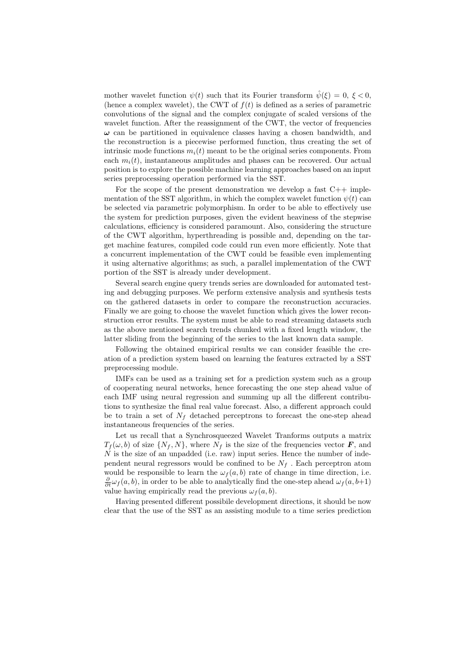mother wavelet function  $\psi(t)$  such that its Fourier transform  $\hat{\psi}(\xi) = 0, \xi < 0$ , (hence a complex wavelet), the CWT of  $f(t)$  is defined as a series of parametric convolutions of the signal and the complex conjugate of scaled versions of the wavelet function. After the reassignment of the CWT, the vector of frequencies  $\omega$  can be partitioned in equivalence classes having a chosen bandwidth, and the reconstruction is a piecewise performed function, thus creating the set of intrinsic mode functions  $m_i(t)$  meant to be the original series components. From each  $m_i(t)$ , instantaneous amplitudes and phases can be recovered. Our actual position is to explore the possible machine learning approaches based on an input series preprocessing operation performed via the SST.

For the scope of the present demonstration we develop a fast  $C++$  implementation of the SST algorithm, in which the complex wavelet function  $\psi(t)$  can be selected via parametric polymorphism. In order to be able to effectively use the system for prediction purposes, given the evident heaviness of the stepwise calculations, efficiency is considered paramount. Also, considering the structure of the CWT algorithm, hyperthreading is possible and, depending on the target machine features, compiled code could run even more efficiently. Note that a concurrent implementation of the CWT could be feasible even implementing it using alternative algorithms; as such, a parallel implementation of the CWT portion of the SST is already under development.

Several search engine query trends series are downloaded for automated testing and debugging purposes. We perform extensive analysis and synthesis tests on the gathered datasets in order to compare the reconstruction accuracies. Finally we are going to choose the wavelet function which gives the lower reconstruction error results. The system must be able to read streaming datasets such as the above mentioned search trends chunked with a fixed length window, the latter sliding from the beginning of the series to the last known data sample.

Following the obtained empirical results we can consider feasible the creation of a prediction system based on learning the features extracted by a SST preprocessing module.

IMFs can be used as a training set for a prediction system such as a group of cooperating neural networks, hence forecasting the one step ahead value of each IMF using neural regression and summing up all the different contributions to synthesize the final real value forecast. Also, a different approach could be to train a set of  $N_f$  detached perceptrons to forecast the one-step ahead instantaneous frequencies of the series.

Let us recall that a Synchrosqueezed Wavelet Tranforms outputs a matrix  $T_f(\omega, b)$  of size  $\{N_f, N\}$ , where  $N_f$  is the size of the frequencies vector  $\boldsymbol{F}$ , and  $N$  is the size of an unpadded (i.e. raw) input series. Hence the number of independent neural regressors would be confined to be  $N_f$ . Each perceptron atom would be responsible to learn the  $\omega_f(a, b)$  rate of change in time direction, i.e.  $\frac{\partial}{\partial t}\omega_f(a, b)$ , in order to be able to analytically find the one-step ahead  $\omega_f(a, b+1)$ value having empirically read the previous  $\omega_f(a, b)$ .

Having presented different possibile development directions, it should be now clear that the use of the SST as an assisting module to a time series prediction